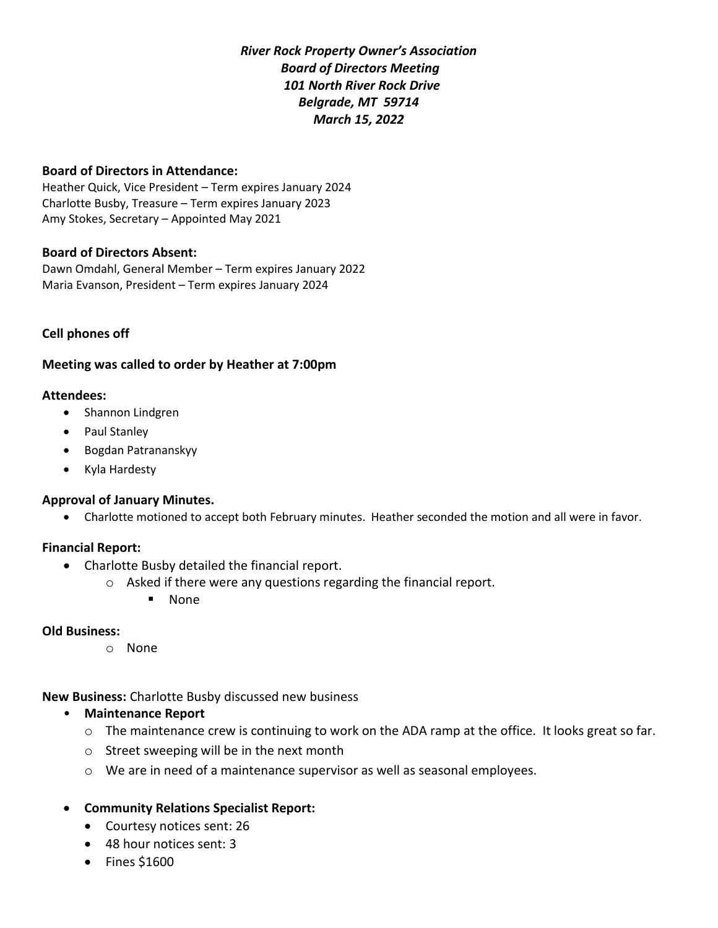*River Rock Property Owner's Association Board of Directors Meeting 101 North River Rock Drive Belgrade, MT 59714 March 15, 2022*

#### **Board of Directors in Attendance:**

Heather Quick, Vice President – Term expires January 2024 Charlotte Busby, Treasure – Term expires January 2023 Amy Stokes, Secretary – Appointed May 2021

#### **Board of Directors Absent:**

Dawn Omdahl, General Member – Term expires January 2022 Maria Evanson, President – Term expires January 2024

### **Cell phones off**

### **Meeting was called to order by Heather at 7:00pm**

#### **Attendees:**

- Shannon Lindgren
- Paul Stanley
- Bogdan Patrananskyy
- Kyla Hardesty

### **Approval of January Minutes.**

• Charlotte motioned to accept both February minutes. Heather seconded the motion and all were in favor.

### **Financial Report:**

- Charlotte Busby detailed the financial report.
	- o Asked if there were any questions regarding the financial report.
		- None

#### **Old Business:**

o None

**New Business:** Charlotte Busby discussed new business

- **Maintenance Report**
	- o The maintenance crew is continuing to work on the ADA ramp at the office. It looks great so far.
	- o Street sweeping will be in the next month
	- o We are in need of a maintenance supervisor as well as seasonal employees.
- **Community Relations Specialist Report:** 
	- Courtesy notices sent: 26
	- 48 hour notices sent: 3
	- Fines \$1600